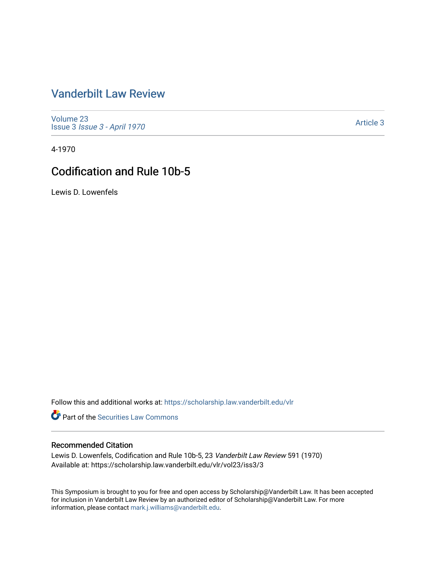# [Vanderbilt Law Review](https://scholarship.law.vanderbilt.edu/vlr)

[Volume 23](https://scholarship.law.vanderbilt.edu/vlr/vol23) Issue 3 [Issue 3 - April 1970](https://scholarship.law.vanderbilt.edu/vlr/vol23/iss3)

[Article 3](https://scholarship.law.vanderbilt.edu/vlr/vol23/iss3/3) 

4-1970

# Codification and Rule 10b-5

Lewis D. Lowenfels

Follow this and additional works at: [https://scholarship.law.vanderbilt.edu/vlr](https://scholarship.law.vanderbilt.edu/vlr?utm_source=scholarship.law.vanderbilt.edu%2Fvlr%2Fvol23%2Fiss3%2F3&utm_medium=PDF&utm_campaign=PDFCoverPages)

**Part of the Securities Law Commons** 

## Recommended Citation

Lewis D. Lowenfels, Codification and Rule 10b-5, 23 Vanderbilt Law Review 591 (1970) Available at: https://scholarship.law.vanderbilt.edu/vlr/vol23/iss3/3

This Symposium is brought to you for free and open access by Scholarship@Vanderbilt Law. It has been accepted for inclusion in Vanderbilt Law Review by an authorized editor of Scholarship@Vanderbilt Law. For more information, please contact [mark.j.williams@vanderbilt.edu](mailto:mark.j.williams@vanderbilt.edu).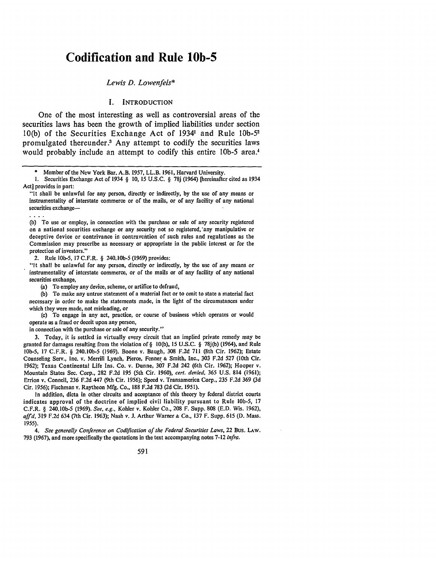# **Codification and Rule 10b-5**

### *Lewis D. Lowenfels\**

### I. INTRODUCTION

One of the most interesting as well as controversial areas of the securities laws has been the growth of implied liabilities under section **10(b)** of the Securities Exchange Act of 19341 and Rule **lOb-5 <sup>2</sup>** promulgated thereunder.<sup>3</sup> Any attempt to codify the securities laws would probably include an attempt to codify this entire **lOb-5** area.'

**(b)** To use or employ, in connection with the purchase or sale of any security registered on a national securities exchange or any security not so registered,'any manipulative or deceptive device or contrivance in contravention of such rules and regulations as the Commission may prescribe as necessary or appropriate in the public interest or for the protection of investors."

2. Rule **lOb-5,** 17 C.F.R. § 240. **lOb-5** (1969) provides:

. . . .

"It shall be unlawful for any person, directly or indirectly, by the use of any means or instrumentality of interstate commerce, or of the mails or of any facility of any national securities exchange,

(a) To employ any device, scheme, or artifice to defraud,

(b) To make any untrue statement of a material fact or to omit to state a material fact necessary in order to make the statements made, in the light of the circumstances under which they were made, not misleading, or

(c) To engage in any act, practice, or course of business which operates or would operate as a fraud or deceit upon any person,

in connection with the purchase or sale of any security."

3. Today, it is settled in virtually every circuit that an implied private remedy may be granted for damages resulting from the violation of § 10(b), 15 U.S.C. § 78j(b) (1964), and Rule lOb-5, 17 C.F.R. § 240.10b-5 (1969). Boone v. Baugh, 308 F.2d 711 (8th Cir. 1962); Estate Counseling Serv., Inc. v. Merrill Lynch, Pierce, Fenner **&** Smith, Inc., 303 F.2d 527 (10th Cir. 1962); Texas Continental Life Ins. Co. v. Dunne, 307 F.2d 242 (6th Cir. 1962); Hooper v. Mountain States Sec. Corp., 282 F.2d 195 (5th Cir. 1960), *cert. denied,* 365 U.S. 814 (1961); Errion v. Connell, 236 F.2d 447 (9th Cir. 1956); Speed v. Transamerica Corp., 235 F.2d 369 (3d Cir. 1956); Fischman v. Raytheon Mfg. Co., 188 F.2d 783 (2d Cir. 1951).

In addition, dicta in other circuits and acceptance of this theory by federal district courts indicates approval of the doctrine of implied civil liability pursuant to Rule lOb-5, 17 C.F.R. § 240.1Ob-5 (1969). *See, e.g.,* Kohler v. Kohler Co., 208 F. Supp. 808 (E.D. Wis. 1962), *aff d.* 319 F.2d 634 (7th Cir. 1963); Nash v. J. Arthur Warner **&** Co., 137 F. Supp. 615 (D. Mass. 1955).

*4. See generally Conference on Codification of the Federal Securities Laws,* 22 Bus. LAW. 793 (1967), and more specifically the quotations in the text accompanying notes 7-12 *infra.*

591

Member of the New York Bar. A.B. 1957, LL.B. 1961, Harvard University.

**<sup>1.</sup>** Securities Exchange Act of 1934 § *10,* **15 U.S.C.** § **78j** (1964) [hereinafter cited as 1934 Act] provides in part:

<sup>&</sup>quot;It shall be unlawful for any person, directly or indirectly, by the use of any means or instrumentality of interstate commerce or of the mails, or of any facility of any national securities exchange-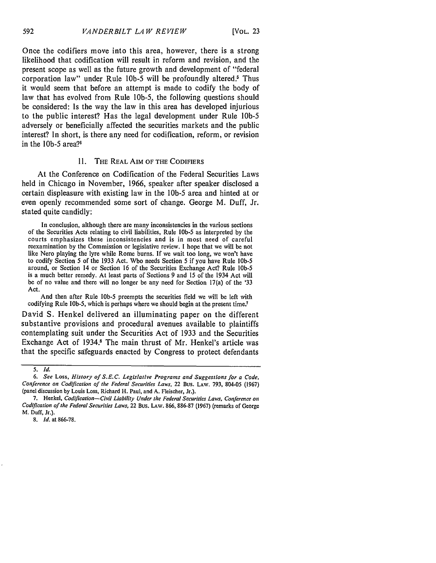Once the codifiers move into this area, however, there is a strong likelihood that codification will result in reform and revision, and the present scope as well as the future growth and development of "federal corporation law" under Rule **lOb-5** will be profoundly altered.' Thus it would seem that before an attempt is made to codify the body of law that has evolved from Rule lOb-5, the following questions should be considered: Is the way the law in this area has developed injurious to the public interest? Has the legal development under Rule *lOb-5* adversely or beneficially affected the securities markets and the public interest? In short, is there any need for codification, reform, or revision in the *lOb-5* area?6

## II. THE REAL AIM OF THE CODIFIERS

At the Conference on Codification of the Federal Securities Laws held in Chicago in November, 1966, speaker after speaker disclosed a certain displeasure with existing law in the **lOb-5** area and hinted at or even openly recommended some sort of change. George M. Duff, Jr. stated quite candidly:

In conclusion, although there are many inconsistencies in the various sections of the Securities Acts relating to civil liabilities, Rule **lOb-5** as interpreted by the courts emphasizes these inconsistencies and is in most need of careful reexamination by the Commission or legislative review. I hope that we will be not like Nero playing the lyre while Rome burns. If we wait too long, we won't have to codify Section 5 of the 1933 Act. Who needs Section 5 if you have Rule **lob-5** around, or Section 14 or Section 16 of the Securities Exchange Act? Rule **lOb-5** is a much better remedy. At least parts of Sections 9 and 15 of the 1934 Act will be of no value and there will no longer be any need for Section 17(a) of the '33 Act.

And then after Rule **lOb-5** preempts the securities field we will be left with codifying Rule 10b-5, which is perhaps where we should begin at the present time.<sup>7</sup>

David S. Henkel delivered an illuminating paper on the different substantive provisions and procedural avenues available to plaintiffs contemplating suit under the Securities Act of 1933 and the Securities Exchange Act of 1934.8 The main thrust of Mr. Henkel's article was that the specific safeguards enacted by Congress to protect defendants

*<sup>5.</sup> Id.*

*<sup>6.</sup> See* Loss, *History of S.E.C. Legislative Programs and Suggestions for a Code, Conference on Codification of the Federal Securities Laws,* 22 Bus. LAW. 793, 804-05 (1967) (panel discussion by Louis Loss, Richard H. Paul, and A. Fleischer, Jr.).

<sup>7.</sup> Henkel, *Codification- Civil Liability Under the Federal Securities Laws, Conference on Codification of the Federal Securities Laws,* 22 Bus. LAw. 866, 886-87 (1967) (remarks of George M. Duff, Jr.).

<sup>8.</sup> *Id.* at 866-78.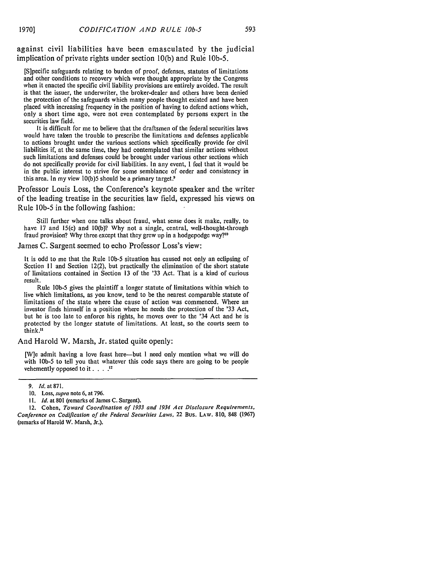against civil liabilities have been emasculated by the judicial implication of private rights under section 10(b) and Rule lOb-5.

[S]pecific safeguards relating to burden of proof, defenses, statutes of limitations and other conditions to recovery which were thought appropriate by the Congress when it enacted the specific civil liability provisions are entirely avoided. The result is that the issuer, the underwriter, the broker-dealer and others have been denied the protection of the safeguards which many people thought existed and have been placed with increasing frequency in the position of having to defend actions which, only a short time ago, were not even contemplated by persons expert in the securities law field.

It is difficult for me to believe that the draftsmen of the federal securities laws would have taken the trouble to prescribe the limitations and defenses applicable to actions brought under the various sections which specifically provide for civil liabilities if, at the same time, they had contemplated that similar actions without such limitations and defenses could be brought under various other sections which do not specifically provide for civil liabilities. In any event, I feel that it would be in the public interest to strive for some semblance of order and consistency in this area. In my view 10(b)5 should be a primary target.<sup>9</sup>

Professor Louis Loss, the Conference's keynote speaker and the writer of the leading treatise in the securities law field, expressed his views on Rule 1Ob-5 in the following fashion:

Still further when one talks about fraud, what sense does it make, really, to have 17 and 15(c) and 10(b)? Why not a single, central, well-thought-through fraud provision? Why three except that they grew up in a hodgepodge way?'<sup>0</sup>

James C. Sargent seemed to echo Professor Loss's view:

It is odd to me that the Rule **lOb-5** situation has caused not only an eclipsing of Section I1 and Section 12(2), but practically the elimination of the short statute of limitations contained in Section 13 of the '33 Act. That is a kind of curious result.

Rule 10b-5 gives the plaintiff a longer statute of limitations within which to live which limitations, as you know, tend to be the nearest comparable statute of limitations of the state where the cause of action was commenced. Where an investor finds himself in a position where he needs the protection of the '33 Act, but he is too late to enforce his rights, he moves over to the '34 Act and he is protected by the longer statute of limitations. At least, so the courts seem to think."

#### And Harold W. Marsh, Jr. stated quite openly:

[W]e admit having a love feast here-but I need only mention what we will do with 10b-5 to tell you that whatever this code says there are going to be people vehemently opposed to it **....** <sup>12</sup>

<sup>9.</sup> *Id.* at **871.**

<sup>10.</sup> Loss, *supra* note 6, at 796.

<sup>11.</sup> *Id.* at 801 (remarks of James C. Sargent).

<sup>12.</sup> Cohen, *Toward Coordination of 1933 and 1934 Act Disclosure Requirements, Conference on Codification of the Federal Securities Laws,* 22 Bus. **LAW.** 810, 848 (1967) (remarks of Harold W. Marsh, Jr.).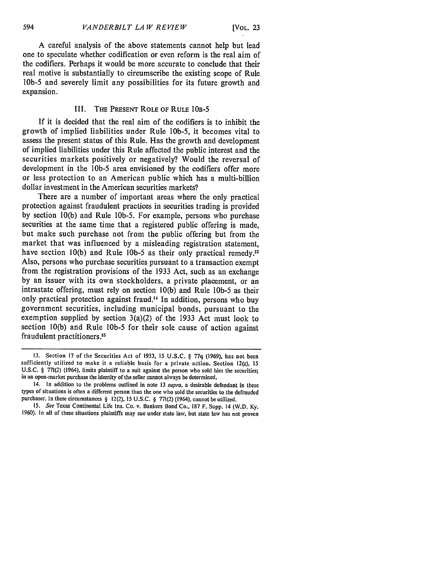A careful analysis of the above statements cannot help but lead one to speculate whether codification or even reform is the real aim of the codifiers. Perhaps it would be more accurate to conclude that their real motive is substantially to circumscribe the existing scope of Rule **lOb-5** and severely limit any possibilities for its future growth and expansion.

## III. THE PRESENT ROLE OF RULE 1OB-5

If it is decided that the real aim of the codifiers is to inhibit the growth of implied liabilities under Rule lOb-5, it becomes vital to assess the present status of this Rule. Has the growth and development of implied liabilities under this Rule affected the public interest and the securities markets positively or negatively? Would the reversal of development in the **lOb-5** area envisioned by the codifiers offer more or less protection to an American public which has a multi-billion dollar investment in the American securities markets?

There are a number of important areas where the only practical protection against fraudulent practices in securities trading is provided by section 10(b) and Rule 10b-5. For example, persons who purchase securities at the same time that a registered public offering is made, but make such purchase not from the public offering but from the market that was influenced by a misleading registration statement, have section 10(b) and Rule **lOb-5** as their only practical remedy.' Also, persons who purchase securities pursuant to a transaction exempt from the registration provisions of the 1933 Act, such as an exchange by an issuer with its own stockholders, a private placement, or an intrastate offering, must rely on section 10(b) and Rule **l0b-5** as their only practical protection against fraud.<sup>14</sup> In addition, persons who buy government securities, including municipal bonds, pursuant to the exemption supplied by section 3(a)(2) of the 1933 Act must look to section 10(b) and Rule **lOb-5** for their sole cause of action against fraudulent practitioners.<sup>15</sup>

<sup>13.</sup> Section 17 of the Securities Act of 1933, 15 U.S.C. § 77q (1969), has not been sufficiently utilized to make it a reliable basis for a private action. Section 12(z), **15** U.S.C. § 771(2) (1964), limits plaintiff to a suit against the person who sold him the securities; in an open-market purchase the identity of the seller cannot always be determined.

<sup>14.</sup> In addition to the problems outlined in note 13 supra, a desirable defendant in these types of situations is often a different person than the one who sold the securities to the defrauded purchaser. In these circumstances § 12(2), 15 U.S.C. § 771(2) (1964), cannot be utilized.

<sup>15.</sup> See Texas Continental Life Ins. Co. v. Bankers Bond Co., 187 F. Supp. 14 (W.D. Ky. 1960). In all of these situations plaintiffs may sue under state law, but state law has not proven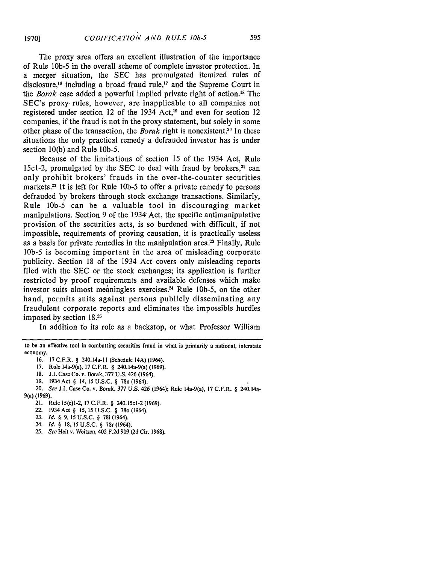**1970]**

The proxy area offers an excellent illustration of the importance of Rule lb-5 in the overall scheme of complete investor protection. In a merger situation, the SEC has promulgated itemized rules of disclosure.<sup>16</sup> including a broad fraud rule,<sup>17</sup> and the Supreme Court in the *Borak* case added a powerful implied private right of action.<sup>18</sup> The SEC's proxy, rules, however, are inapplicable to all companies not registered under section 12 of the 1934 Act,<sup>19</sup> and even for section 12 companies, if the fraud is not in the proxy statement, but solely in some other phase of the transaction, the *Borak* right is nonexistent.<sup>20</sup> In these situations the only practical remedy a defrauded investor has is under section 10(b) and Rule lOb-5.

Because of the limitations of section 15 of the 1934 Act, Rule 15c1-2, promulgated by the SEC to deal with fraud by brokers,<sup>21</sup> can only prohibit brokers' frauds in the over-the-counter securities markets.<sup>22</sup> It is left for Rule 10b-5 to offer a private remedy to persons defrauded by brokers through stock exchange transactions. Similarly, Rule **lOb-5** can be a valuable tool in discouraging market manipulations. Section 9 of the 1934 Act, the specific antimanipulative provision of the securities acts, is so burdened with difficult, if not impossible, requirements of proving causation, it is practically useless as a basis for private remedies in the manipulation area.<sup>23</sup> Finally, Rule **lOb-5** is becoming important in the area of misleading corporate publicity. Section 18 of the 1934 Act covers only misleading reports filed with the SEC or the stock exchanges; its application is further restricted by proof requirements and available defenses which make investor suits almost meaningless exercises.<sup>24</sup> Rule 10b-5, on the other hand, permits suits against persons publicly disseminating any fraudulent corporate reports and eliminates the impossible hurdles imposed by section **18.25**

In addition to its role as a backstop, or what Professor William

- 20. *See J.1.* Case Co. v. Borak, 377 U.S. 426 (1964); Rule 14a-9(a), 17 C.F.R. § 240.14a-9(a) (1969).
	- 21. Rule 15(c)1-2, 17 C.F.R. § 240.15cl-2 (1969).
	- 22. 1934 Act § **15, 15 U.S.C.** § 78o (1964).
	- **23.** *Id. §* **9,** 15 **U.S.C.** § 78i (1964).
	- 24. *Id. §* **18, 15 U.S.C.** § 78r (1964).
	- *25. See* Heit v. Weitzen, 402 F.2d 909 (2d Cir. 1968).

to be an effective tool in combatting securities fraud in what is primarily a national, interstate economy.

<sup>16. 17</sup>C.F.R. § 240.14a-1 (Schedule 14A) (1964).

<sup>17.</sup> Rule 14a-9(a), 17 C.F.R. § 240.14a-9(a) (1969).

<sup>18.</sup> **J.1.** Case Co. v. Borak, **377 U.S.** 426 (1964).

<sup>19. 1934</sup> Act § 14, 15 U.S.C. § 78n (1964).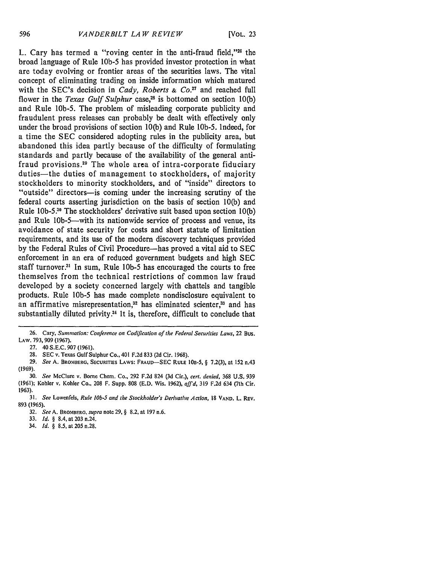L. Cary has termed a "roving center in the anti-fraud field,"<sup>26</sup> the broad language of Rule 10b-5 has provided investor protection in what are today evolving or frontier areas of the securities laws. The vital concept of eliminating trading on inside information which matured with the SEC's decision in *Cady*, *Roberts & Co.*<sup>27</sup> and reached full flower in the *Texas Gulf Sulphur* case,<sup>28</sup> is bottomed on section 10(b) and Rule 10b-5. The problem of misleading corporate publicity and fraudulent press releases can probably be dealt with effectively only under the broad provisions of section 10(b) and Rule 10b-5. Indeed, for a time the SEC considered adopting rules in the publicity area, but abandoned this idea partly because of the difficulty of formulating standards and partly because of the availability of the general antifraud provisions.29 The whole area of intra-corporate fiduciary duties-the duties of management to stockholders, of majority stockholders to minority stockholders, and of "inside" directors to "outside" directors-is coming under the increasing scrutiny of the federal courts asserting jurisdiction on the basis of section 10(b) and Rule 10b-5.<sup>30</sup> The stockholders' derivative suit based upon section 10(b) and Rule 10b-5-with its nationwide service of process and venue, its avoidance of state security for costs and short statute of limitation requirements, and its use of the modern discovery techniques provided by the Federal Rules of Civil Procedure-has proved a vital aid to SEC enforcement in an era of reduced government budgets and high SEC staff turnover.<sup>31</sup> In sum, Rule 10b-5 has encouraged the courts to free themselves from the technical restrictions of common law fraud developed by a society concerned largely with chattels and tangible products. Rule **lOb-5** has made complete nondisclosure equivalent to an affirmative misrepresentation,<sup>32</sup> has eliminated scienter,<sup>33</sup> and has substantially diluted privity.<sup>34</sup> It is, therefore, difficult to conclude that

34. *Id. §* 8.5, at **205** n.28.

**<sup>26.</sup>** Cary, *Summation: Conference on Codification of the Federal Securities Laws,* 22 Bus. LAW. 793, 909 (1967).

<sup>27. 40</sup> S.E.C. 907 (1961).

<sup>28.</sup> SEC v. Texas Gulf Sulphur Co., 401 F.2d 833 **(2d** Cir. 1968).

**<sup>29.</sup>** *See* **A.** BROMBERG, **SECURITIES** LAWS: FRAUD-SEC **RULE** 10B-5, § **7.2(3),** at **152** n.43 (1969).

<sup>30.</sup> *See* McClure v. Borne Chem. Co., 292 F.2d 824 (3d Cir.), *cert. denied,* **368** U.S. 939 (1961); Kohler v. Kohler Co., 208 F. Supp. 808 (E.D. Wis. 1962), *affd,* 319 F.2d 634 (7th Cir. 1963).

<sup>31.</sup> *See* Lowenfels, *Rule lOb-5 and the Stockholder's Derivative Action,* 18 VAND. L, REV. 893 (1965).

<sup>32.</sup> *See* A. BROMBERG, *supra* note 29, § 8.2, at 197 n.6.

<sup>33.</sup> *Id. §* 8.4, at 203 n.24.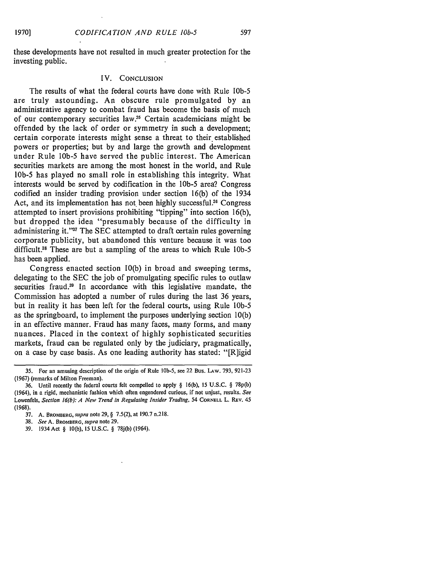these developments have not resulted in much greater protection for the investing public.

### IV. **CONCLUSION**

The results of what the federal courts have done with Rule **10b-5** are truly astounding. An obscure rule promulgated by an administrative agency to combat fraud has become the basis of much of our contemporary securities law.<sup>35</sup> Certain academicians might be offended by the lack of order or symmetry in such a development; certain corporate interests might sense a threat to their established powers or properties; but by and large the growth and development under Rule **10b-5** have served the public interest. The American securities markets are among the most honest in the world, and Rule **lOb-5** has played no small role in establishing this integrity. What interests would be served by codification in the *10b-5* area? Congress codified an insider trading provision under section 16(b) of the 1934 Act, and its implementation has not been highly successful.<sup>36</sup> Congress attempted to insert provisions prohibiting "tipping" into section 16(b), but dropped the idea "presumably because of the difficulty in administering it."<sup>37</sup> The SEC attempted to draft certain rules governing corporate publicity, but abandoned this venture because it was too difficult.<sup>38</sup> These are but a sampling of the areas to which Rule 10b-5 has been applied.

Congress enacted section 10(b) in broad and sweeping terms, delegating to the SEC the job of promulgating specific rules to outlaw securities fraud.<sup>39</sup> In accordance with this legislative mandate, the Commission has adopted a number of rules during the last 36 years, but in reality it has been left for the federal courts, using Rule *lOb-5* as the springboard, to implement the purposes underlying section 10(b) in an effective manner. Fraud has many faces, many forms, and many nuances. Placed in the context of highly sophisticated securities markets, fraud can be regulated only by the judiciary, pragmatically, on a case by case basis. As one leading authority has stated: "[R]igid

<sup>35.</sup> For an amusing description of the origin of Rule **lOb-5,** see 22 Bus. LAW. 793, 921-23 (1967) (remarks of Milton Freeman).

<sup>36.</sup> Until recently the federal courts felt compelled to apply § 16(b), 15 U.S.C. § 78p(b) (1964), in a rigid, mechanistic fashion which often engendered curious, if not unjust, results. *See* Lowenfels, *Section 16(b): A New Trend in Regulating Insider Trading,* 54 **CORNELL** L. REV. 45 (1968).

<sup>37.</sup> A. BROMBERG, *supra* note 29, § 7.5(2), at 190.7 n.218.

<sup>38.</sup> *See* A. BROMBERG, *supra* note 29.

<sup>39. 1934</sup> Act § 10(b), 15 U.S.C. § 78j(b) (1964).